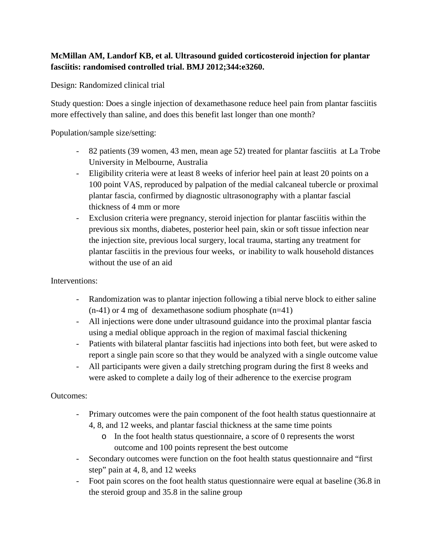## **McMillan AM, Landorf KB, et al. Ultrasound guided corticosteroid injection for plantar fasciitis: randomised controlled trial. BMJ 2012;344:e3260.**

Design: Randomized clinical trial

Study question: Does a single injection of dexamethasone reduce heel pain from plantar fasciitis more effectively than saline, and does this benefit last longer than one month?

Population/sample size/setting:

- 82 patients (39 women, 43 men, mean age 52) treated for plantar fasciitis at La Trobe University in Melbourne, Australia
- Eligibility criteria were at least 8 weeks of inferior heel pain at least 20 points on a 100 point VAS, reproduced by palpation of the medial calcaneal tubercle or proximal plantar fascia, confirmed by diagnostic ultrasonography with a plantar fascial thickness of 4 mm or more
- Exclusion criteria were pregnancy, steroid injection for plantar fasciitis within the previous six months, diabetes, posterior heel pain, skin or soft tissue infection near the injection site, previous local surgery, local trauma, starting any treatment for plantar fasciitis in the previous four weeks, or inability to walk household distances without the use of an aid

Interventions:

- Randomization was to plantar injection following a tibial nerve block to either saline  $(n-41)$  or 4 mg of dexamethasone sodium phosphate  $(n=41)$
- All injections were done under ultrasound guidance into the proximal plantar fascia using a medial oblique approach in the region of maximal fascial thickening
- Patients with bilateral plantar fasciitis had injections into both feet, but were asked to report a single pain score so that they would be analyzed with a single outcome value
- All participants were given a daily stretching program during the first 8 weeks and were asked to complete a daily log of their adherence to the exercise program

Outcomes:

- Primary outcomes were the pain component of the foot health status questionnaire at 4, 8, and 12 weeks, and plantar fascial thickness at the same time points
	- o In the foot health status questionnaire, a score of 0 represents the worst outcome and 100 points represent the best outcome
- Secondary outcomes were function on the foot health status questionnaire and "first step" pain at 4, 8, and 12 weeks
- Foot pain scores on the foot health status questionnaire were equal at baseline (36.8 in the steroid group and 35.8 in the saline group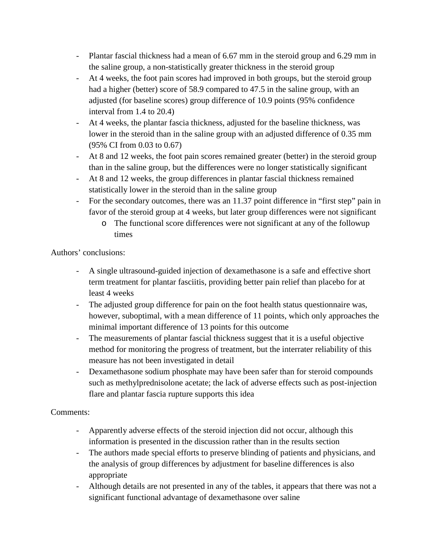- Plantar fascial thickness had a mean of 6.67 mm in the steroid group and 6.29 mm in the saline group, a non-statistically greater thickness in the steroid group
- At 4 weeks, the foot pain scores had improved in both groups, but the steroid group had a higher (better) score of 58.9 compared to 47.5 in the saline group, with an adjusted (for baseline scores) group difference of 10.9 points (95% confidence interval from 1.4 to 20.4)
- At 4 weeks, the plantar fascia thickness, adjusted for the baseline thickness, was lower in the steroid than in the saline group with an adjusted difference of 0.35 mm (95% CI from 0.03 to 0.67)
- At 8 and 12 weeks, the foot pain scores remained greater (better) in the steroid group than in the saline group, but the differences were no longer statistically significant
- At 8 and 12 weeks, the group differences in plantar fascial thickness remained statistically lower in the steroid than in the saline group
- For the secondary outcomes, there was an 11.37 point difference in "first step" pain in favor of the steroid group at 4 weeks, but later group differences were not significant
	- o The functional score differences were not significant at any of the followup times

Authors' conclusions:

- A single ultrasound-guided injection of dexamethasone is a safe and effective short term treatment for plantar fasciitis, providing better pain relief than placebo for at least 4 weeks
- The adjusted group difference for pain on the foot health status questionnaire was, however, suboptimal, with a mean difference of 11 points, which only approaches the minimal important difference of 13 points for this outcome
- The measurements of plantar fascial thickness suggest that it is a useful objective method for monitoring the progress of treatment, but the interrater reliability of this measure has not been investigated in detail
- Dexamethasone sodium phosphate may have been safer than for steroid compounds such as methylprednisolone acetate; the lack of adverse effects such as post-injection flare and plantar fascia rupture supports this idea

## Comments:

- Apparently adverse effects of the steroid injection did not occur, although this information is presented in the discussion rather than in the results section
- The authors made special efforts to preserve blinding of patients and physicians, and the analysis of group differences by adjustment for baseline differences is also appropriate
- Although details are not presented in any of the tables, it appears that there was not a significant functional advantage of dexamethasone over saline